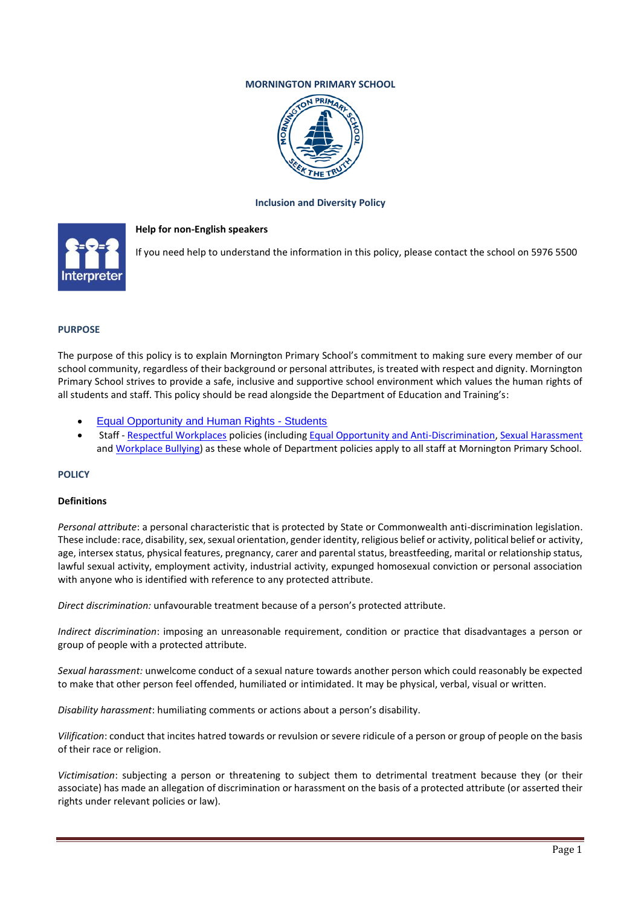# **MORNINGTON PRIMARY SCHOOL**



### **Inclusion and Diversity Policy**

# **Help for non-English speakers**



If you need help to understand the information in this policy, please contact the school on 5976 5500

#### **PURPOSE**

The purpose of this policy is to explain Mornington Primary School's commitment to making sure every member of our school community, regardless of their background or personal attributes, is treated with respect and dignity. Mornington Primary School strives to provide a safe, inclusive and supportive school environment which values the human rights of all students and staff. This policy should be read alongside the Department of Education and Training's:

- Equal Opportunity and Human Rights Students
- Staff Respectful Workplaces policies (including Equal Opportunity and Anti-Discrimination, Sexual Harassment and Workplace Bullying) as these whole of Department policies apply to all staff at Mornington Primary School.

#### **POLICY**

#### **Definitions**

*Personal attribute*: a personal characteristic that is protected by State or Commonwealth anti-discrimination legislation. These include: race, disability, sex, sexual orientation, gender identity, religious belief or activity, political belief or activity, age, intersex status, physical features, pregnancy, carer and parental status, breastfeeding, marital or relationship status, lawful sexual activity, employment activity, industrial activity, expunged homosexual conviction or personal association with anyone who is identified with reference to any protected attribute.

*Direct discrimination:* unfavourable treatment because of a person's protected attribute.

*Indirect discrimination*: imposing an unreasonable requirement, condition or practice that disadvantages a person or group of people with a protected attribute.

*Sexual harassment:* unwelcome conduct of a sexual nature towards another person which could reasonably be expected to make that other person feel offended, humiliated or intimidated. It may be physical, verbal, visual or written.

*Disability harassment*: humiliating comments or actions about a person's disability.

*Vilification*: conduct that incites hatred towards or revulsion or severe ridicule of a person or group of people on the basis of their race or religion.

*Victimisation*: subjecting a person or threatening to subject them to detrimental treatment because they (or their associate) has made an allegation of discrimination or harassment on the basis of a protected attribute (or asserted their rights under relevant policies or law).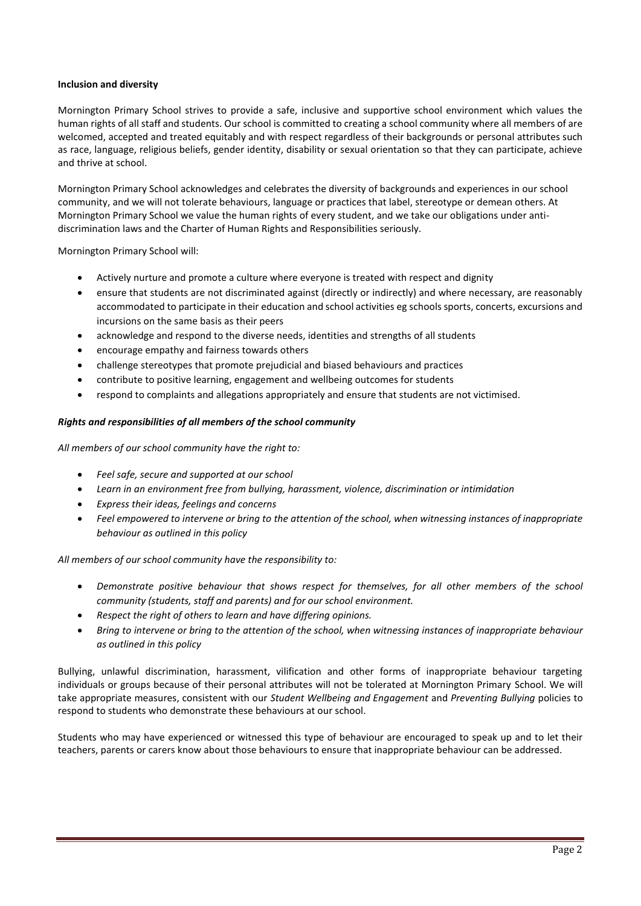# **Inclusion and diversity**

Mornington Primary School strives to provide a safe, inclusive and supportive school environment which values the human rights of all staff and students. Our school is committed to creating a school community where all members of are welcomed, accepted and treated equitably and with respect regardless of their backgrounds or personal attributes such as race, language, religious beliefs, gender identity, disability or sexual orientation so that they can participate, achieve and thrive at school.

Mornington Primary School acknowledges and celebrates the diversity of backgrounds and experiences in our school community, and we will not tolerate behaviours, language or practices that label, stereotype or demean others. At Mornington Primary School we value the human rights of every student, and we take our obligations under antidiscrimination laws and the Charter of Human Rights and Responsibilities seriously.

Mornington Primary School will:

- Actively nurture and promote a culture where everyone is treated with respect and dignity
- ensure that students are not discriminated against (directly or indirectly) and where necessary, are reasonably accommodated to participate in their education and school activities eg schools sports, concerts, excursions and incursions on the same basis as their peers
- acknowledge and respond to the diverse needs, identities and strengths of all students
- encourage empathy and fairness towards others
- challenge stereotypes that promote prejudicial and biased behaviours and practices
- contribute to positive learning, engagement and wellbeing outcomes for students
- respond to complaints and allegations appropriately and ensure that students are not victimised.

# *Rights and responsibilities of all members of the school community*

*All members of our school community have the right to:*

- *Feel safe, secure and supported at our school*
- *Learn in an environment free from bullying, harassment, violence, discrimination or intimidation*
- *Express their ideas, feelings and concerns*
- *Feel empowered to intervene or bring to the attention of the school, when witnessing instances of inappropriate behaviour as outlined in this policy*

*All members of our school community have the responsibility to:*

- *Demonstrate positive behaviour that shows respect for themselves, for all other members of the school community (students, staff and parents) and for our school environment.*
- *Respect the right of others to learn and have differing opinions.*
- *Bring to intervene or bring to the attention of the school, when witnessing instances of inappropriate behaviour as outlined in this policy*

Bullying, unlawful discrimination, harassment, vilification and other forms of inappropriate behaviour targeting individuals or groups because of their personal attributes will not be tolerated at Mornington Primary School. We will take appropriate measures, consistent with our *Student Wellbeing and Engagement* and *Preventing Bullying* policies to respond to students who demonstrate these behaviours at our school.

Students who may have experienced or witnessed this type of behaviour are encouraged to speak up and to let their teachers, parents or carers know about those behaviours to ensure that inappropriate behaviour can be addressed.